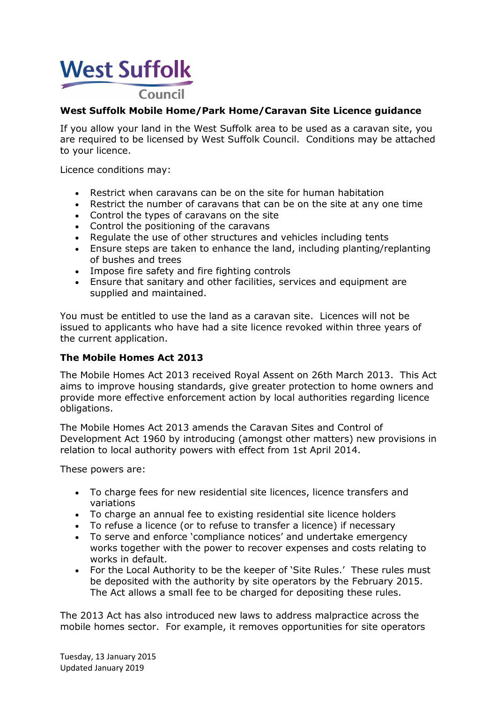# **West Suffolk Council**

### **West Suffolk Mobile Home/Park Home/Caravan Site Licence guidance**

If you allow your land in the West Suffolk area to be used as a caravan site, you are required to be licensed by West Suffolk Council. Conditions may be attached to your licence.

Licence conditions may:

- Restrict when caravans can be on the site for human habitation
- Restrict the number of caravans that can be on the site at any one time
- Control the types of caravans on the site
- Control the positioning of the caravans
- Regulate the use of other structures and vehicles including tents
- Ensure steps are taken to enhance the land, including planting/replanting of bushes and trees
- Impose fire safety and fire fighting controls
- Ensure that sanitary and other facilities, services and equipment are supplied and maintained.

You must be entitled to use the land as a caravan site. Licences will not be issued to applicants who have had a site licence revoked within three years of the current application.

#### **The Mobile Homes Act 2013**

The Mobile Homes Act 2013 received Royal Assent on 26th March 2013. This Act aims to improve housing standards, give greater protection to home owners and provide more effective enforcement action by local authorities regarding licence obligations.

The Mobile Homes Act 2013 amends the Caravan Sites and Control of Development Act 1960 by introducing (amongst other matters) new provisions in relation to local authority powers with effect from 1st April 2014.

These powers are:

- To charge fees for new residential site licences, licence transfers and variations
- To charge an annual fee to existing residential site licence holders
- To refuse a licence (or to refuse to transfer a licence) if necessary
- To serve and enforce 'compliance notices' and undertake emergency works together with the power to recover expenses and costs relating to works in default.
- For the Local Authority to be the keeper of 'Site Rules.' These rules must be deposited with the authority by site operators by the February 2015. The Act allows a small fee to be charged for depositing these rules.

The 2013 Act has also introduced new laws to address malpractice across the mobile homes sector. For example, it removes opportunities for site operators